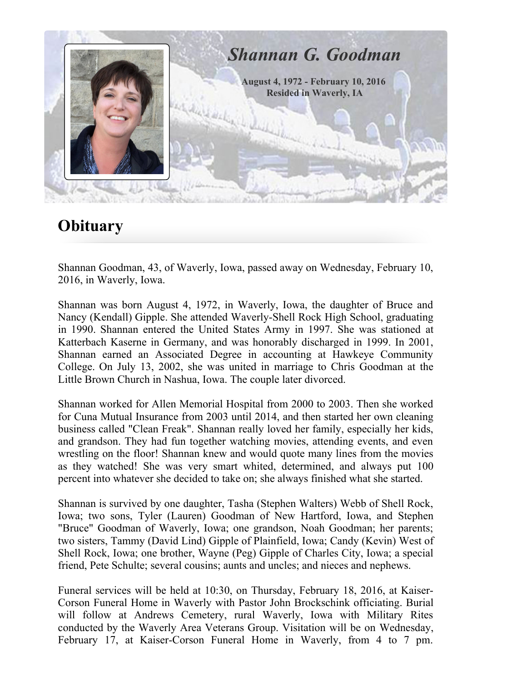

# **Obituary**

Shannan Goodman, 43, of Waverly, Iowa, passed away on Wednesday, February 10, 2016, in Waverly, Iowa.

Shannan was born August 4, 1972, in Waverly, Iowa, the daughter of Bruce and Nancy (Kendall) Gipple. She attended Waverly-Shell Rock High School, graduating in 1990. Shannan entered the United States Army in 1997. She was stationed at Katterbach Kaserne in Germany, and was honorably discharged in 1999. In 2001, Shannan earned an Associated Degree in accounting at Hawkeye Community College. On July 13, 2002, she was united in marriage to Chris Goodman at the Little Brown Church in Nashua, Iowa. The couple later divorced.

Shannan worked for Allen Memorial Hospital from 2000 to 2003. Then she worked for Cuna Mutual Insurance from 2003 until 2014, and then started her own cleaning business called "Clean Freak". Shannan really loved her family, especially her kids, and grandson. They had fun together watching movies, attending events, and even wrestling on the floor! Shannan knew and would quote many lines from the movies as they watched! She was very smart whited, determined, and always put 100 percent into whatever she decided to take on; she always finished what she started.

Shannan is survived by one daughter, Tasha (Stephen Walters) Webb of Shell Rock, Iowa; two sons, Tyler (Lauren) Goodman of New Hartford, Iowa, and Stephen "Bruce" Goodman of Waverly, Iowa; one grandson, Noah Goodman; her parents; two sisters, Tammy (David Lind) Gipple of Plainfield, Iowa; Candy (Kevin) West of Shell Rock, Iowa; one brother, Wayne (Peg) Gipple of Charles City, Iowa; a special friend, Pete Schulte; several cousins; aunts and uncles; and nieces and nephews.

Funeral services will be held at 10:30, on Thursday, February 18, 2016, at Kaiser-Corson Funeral Home in Waverly with Pastor John Brockschink officiating. Burial will follow at Andrews Cemetery, rural Waverly, Iowa with Military Rites conducted by the Waverly Area Veterans Group. Visitation will be on Wednesday, February 17, at Kaiser-Corson Funeral Home in Waverly, from 4 to 7 pm.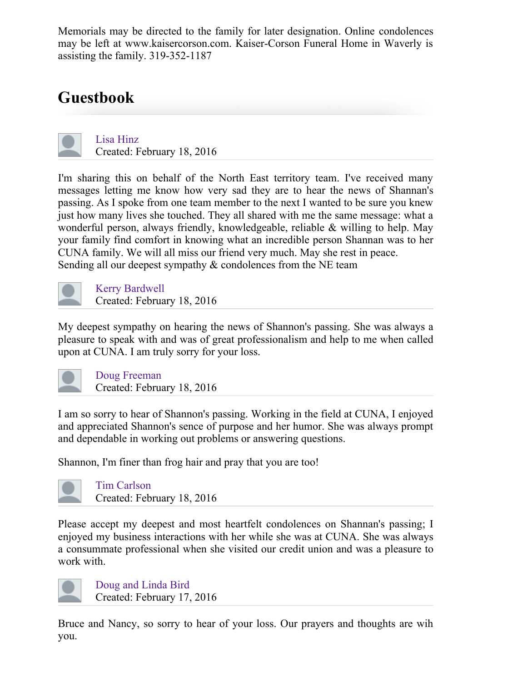Memorials may be directed to the family for later designation. Online condolences may be left at www.kaisercorson.com. Kaiser-Corson Funeral Home in Waverly is assisting the family.  $319-352-1187$ 

# Guestbook

Lisa [Hinz](http://www.kaisercorson.com/_mgxroot/obits/print.php?id=1589242&obit_text=1&main_obit_photo=1&memories=1&all_photo=1&service_info=1&print_all=1&) Created: February 18, 2016

I'm sharing this on behalf of the North East territory team. I've received many messages letting me know how very sad they are to hear the news of Shannan's passing. As I spoke from one team member to the next I wanted to be sure you knew just how many lives she touched. They all shared with me the same message: what a wonderful person, always friendly, knowledgeable, reliable & willing to help. May your family find comfort in knowing what an incredible person Shannan was to her CUNA family. We will all miss our friend very much. May she rest in peace. Sending all our deepest sympathy  $&$  condolences from the NE team

Kerry [Bardwell](http://www.kaisercorson.com/_mgxroot/obits/print.php?id=1589242&obit_text=1&main_obit_photo=1&memories=1&all_photo=1&service_info=1&print_all=1&) Created: February 18, 2016

My deepest sympathy on hearing the news of Shannon's passing. She was always a pleasure to speak with and was of great professionalism and help to me when called upon at CUNA. I am truly sorry for your loss.



Doug [Freeman](http://www.kaisercorson.com/_mgxroot/obits/print.php?id=1589242&obit_text=1&main_obit_photo=1&memories=1&all_photo=1&service_info=1&print_all=1&) Created: February 18, 2016

I am so sorry to hear of Shannon's passing. Working in the field at CUNA, I enjoyed and appreciated Shannon's sence of purpose and her humor. She was always prompt and dependable in working out problems or answering questions.

Shannon, I'm finer than frog hair and pray that you are too!



Tim [Carlson](http://www.kaisercorson.com/_mgxroot/obits/print.php?id=1589242&obit_text=1&main_obit_photo=1&memories=1&all_photo=1&service_info=1&print_all=1&) Created: February 18, 2016

Please accept my deepest and most heartfelt condolences on Shannan's passing; I enjoyed my business interactions with her while she was at CUNA. She was always a consummate professional when she visited our credit union and was a pleasure to work with.



Doug and [Linda](http://www.kaisercorson.com/_mgxroot/obits/print.php?id=1589242&obit_text=1&main_obit_photo=1&memories=1&all_photo=1&service_info=1&print_all=1&) Bird Created: February 17, 2016

Bruce and Nancy, so sorry to hear of your loss. Our prayers and thoughts are wih you.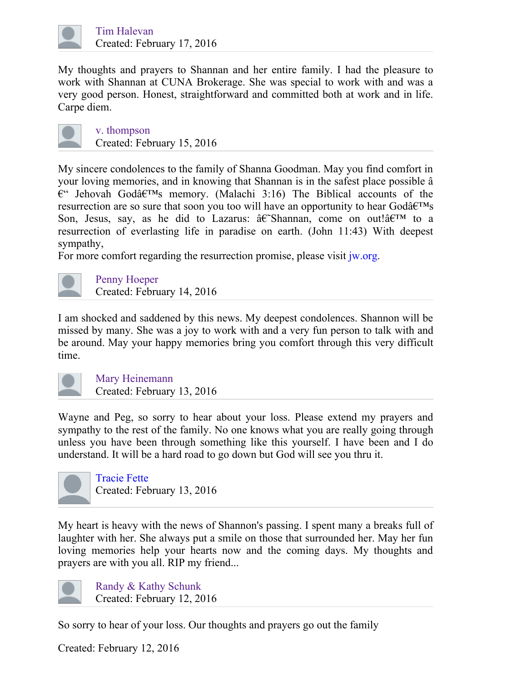

My thoughts and prayers to Shannan and her entire family. I had the pleasure to work with Shannan at CUNA Brokerage. She was special to work with and was a very good person. Honest, straightforward and committed both at work and in life. Carpe diem.



v. [thompson](http://www.kaisercorson.com/_mgxroot/obits/print.php?id=1589242&obit_text=1&main_obit_photo=1&memories=1&all_photo=1&service_info=1&print_all=1&) Created: February 15, 2016

My sincere condolences to the family of Shanna Goodman. May you find comfort in your loving memories, and in knowing that Shannan is in the safest place possible â  $\mathbf{E}^{\prime\prime}$  Jehovah Godâ $\mathbf{E}^{\prime\prime}$  memory. (Malachi 3:16) The Biblical accounts of the resurrection are so sure that soon you too will have an opportunity to hear God $\hat{a} \in T^{M}$ s Son, Jesus, say, as he did to Lazarus:  $\hat{a} \in \text{Shannan}$ , come on out! $\hat{a} \in \text{TM}$  to a resurrection of everlasting life in paradise on earth. (John 11:43) With deepest sympathy,

For more comfort regarding the resurrection promise, please visit [jw.org](http://jw.org/).



Penny [Hoeper](http://www.kaisercorson.com/_mgxroot/obits/print.php?id=1589242&obit_text=1&main_obit_photo=1&memories=1&all_photo=1&service_info=1&print_all=1&) Created: February 14, 2016

I am shocked and saddened by this news. My deepest condolences. Shannon will be missed by many. She was a joy to work with and a very fun person to talk with and be around. May your happy memories bring you comfort through this very difficult time.



Mary [Heinemann](http://www.kaisercorson.com/_mgxroot/obits/print.php?id=1589242&obit_text=1&main_obit_photo=1&memories=1&all_photo=1&service_info=1&print_all=1&) Created: February 13, 2016

Wayne and Peg, so sorry to hear about your loss. Please extend my prayers and sympathy to the rest of the family. No one knows what you are really going through unless you have been through something like this yourself. I have been and I do understand. It will be a hard road to go down but God will see you thru it.



[Tracie](https://disqus.com/by/traciefette/) Fette Created: February 13, 2016

My heart is heavy with the news of Shannon's passing. I spent many a breaks full of laughter with her. She always put a smile on those that surrounded her. May her fun loving memories help your hearts now and the coming days. My thoughts and prayers are with you all. RIP my friend...



Randy & Kathy [Schunk](http://www.kaisercorson.com/_mgxroot/obits/print.php?id=1589242&obit_text=1&main_obit_photo=1&memories=1&all_photo=1&service_info=1&print_all=1&) Created: February 12, 2016

So sorry to hear of your loss. Our thoughts and prayers go out the family

Created: February 12, 2016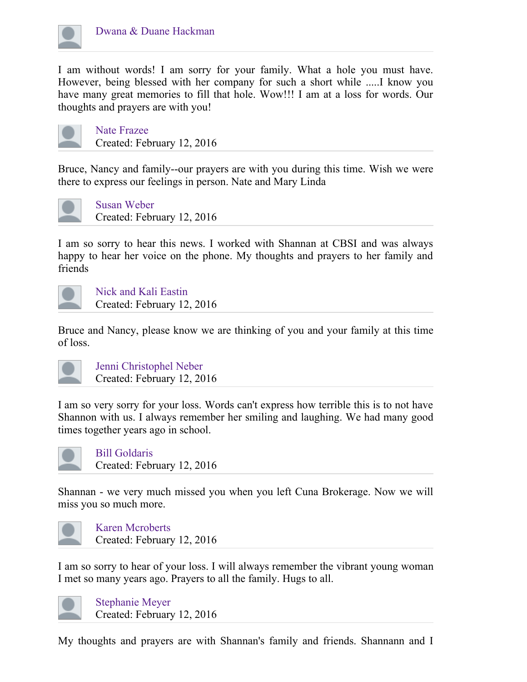

I am without words! I am sorry for your family. What a hole you must have. However, being blessed with her company for such a short while .....I know you have many great memories to fill that hole. Wow!!! I am at a loss for words. Our thoughts and prayers are with you!



Nate [Frazee](http://www.kaisercorson.com/_mgxroot/obits/print.php?id=1589242&obit_text=1&main_obit_photo=1&memories=1&all_photo=1&service_info=1&print_all=1&) Created: February 12, 2016

Bruce, Nancy and family--our prayers are with you during this time. Wish we were there to express our feelings in person. Nate and Mary Linda



Susan [Weber](http://www.kaisercorson.com/_mgxroot/obits/print.php?id=1589242&obit_text=1&main_obit_photo=1&memories=1&all_photo=1&service_info=1&print_all=1&) Created: February 12, 2016

I am so sorry to hear this news. I worked with Shannan at CBSI and was always happy to hear her voice on the phone. My thoughts and prayers to her family and friends



Nick and Kali [Eastin](http://www.kaisercorson.com/_mgxroot/obits/print.php?id=1589242&obit_text=1&main_obit_photo=1&memories=1&all_photo=1&service_info=1&print_all=1&) Created: February 12, 2016

Bruce and Nancy, please know we are thinking of you and your family at this time of loss.



Jenni [Christophel](http://www.kaisercorson.com/_mgxroot/obits/print.php?id=1589242&obit_text=1&main_obit_photo=1&memories=1&all_photo=1&service_info=1&print_all=1&) Neber Created: February 12, 2016

I am so very sorry for your loss. Words can't express how terrible this is to not have Shannon with us. I always remember her smiling and laughing. We had many good times together years ago in school.



Bill [Goldaris](http://www.kaisercorson.com/_mgxroot/obits/print.php?id=1589242&obit_text=1&main_obit_photo=1&memories=1&all_photo=1&service_info=1&print_all=1&) Created: February 12, 2016

Shannan - we very much missed you when you left Cuna Brokerage. Now we will miss you so much more.



Karen [Mcroberts](http://www.kaisercorson.com/_mgxroot/obits/print.php?id=1589242&obit_text=1&main_obit_photo=1&memories=1&all_photo=1&service_info=1&print_all=1&) Created: February 12, 2016

I am so sorry to hear of your loss. I will always remember the vibrant young woman I met so many years ago. Prayers to all the family. Hugs to all.



[Stephanie](http://www.kaisercorson.com/_mgxroot/obits/print.php?id=1589242&obit_text=1&main_obit_photo=1&memories=1&all_photo=1&service_info=1&print_all=1&) Meyer Created: February 12, 2016

My thoughts and prayers are with Shannan's family and friends. Shannann and I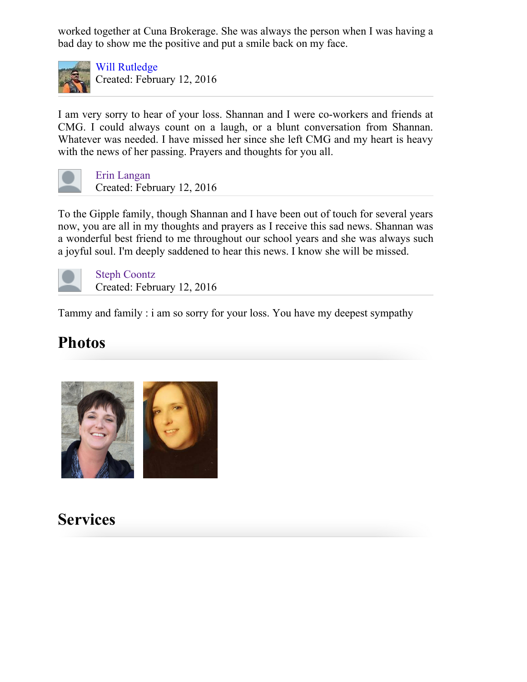worked together at Cuna Brokerage. She was always the person when I was having a bad day to show me the positive and put a smile back on my face.



Will [Rutledge](https://disqus.com/by/will_rutledge/) Created: February 12, 2016

I am very sorry to hear of your loss. Shannan and I were co-workers and friends at CMG. I could always count on a laugh, or a blunt conversation from Shannan. Whatever was needed. I have missed her since she left CMG and my heart is heavy with the news of her passing. Prayers and thoughts for you all.



Erin [Langan](http://www.kaisercorson.com/_mgxroot/obits/print.php?id=1589242&obit_text=1&main_obit_photo=1&memories=1&all_photo=1&service_info=1&print_all=1&) Created: February 12, 2016

To the Gipple family, though Shannan and I have been out of touch for several years now, you are all in my thoughts and prayers as I receive this sad news. Shannan was a wonderful best friend to me throughout our school years and she was always such a joyful soul. I'm deeply saddened to hear this news. I know she will be missed.



Steph [Coontz](http://www.kaisercorson.com/_mgxroot/obits/print.php?id=1589242&obit_text=1&main_obit_photo=1&memories=1&all_photo=1&service_info=1&print_all=1&) Created: February 12, 2016

Tammy and family : i am so sorry for your loss. You have my deepest sympathy

## Photos



## Services